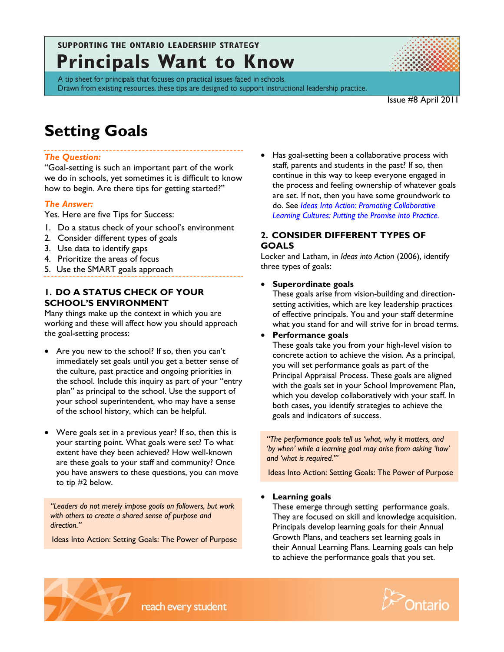# SUPPORTING THE ONTARIO LEADERSHIP STRATEGY **Principals Want to Know**



A tip sheet for principals that focuses on practical issues faced in schools. Drawn from existing resources, these tips are designed to support instructional leadership practice.

Issue #8 April 2011

# **Setting Goals**

# *The Question:*

"Goal-setting is such an important part of the work we do in schools, yet sometimes it is difficult to know how to begin. Are there tips for getting started?"

### *The Answer:*

Yes. Here are five Tips for Success:

- 1. Do a status check of your school's environment
- 2. Consider different types of goals
- 3. Use data to identify gaps
- 4. Prioritize the areas of focus
- 5. Use the SMART goals approach

## **1. DO A STATUS CHECK OF YOUR SCHOOL'S ENVIRONMENT**

Many things make up the context in which you are working and these will affect how you should approach the goal-setting process:

- Are you new to the school? If so, then you can't immediately set goals until you get a better sense of the culture, past practice and ongoing priorities in the school. Include this inquiry as part of your "entry plan" as principal to the school. Use the support of your school superintendent, who may have a sense of the school history, which can be helpful.
- Were goals set in a previous year? If so, then this is your starting point. What goals were set? To what extent have they been achieved? How well-known are these goals to your staff and community? Once you have answers to these questions, you can move to tip #2 below.

*"Leaders do not merely impose goals on followers, but work with others to create a shared sense of purpose and direction."* 

Ideas Into Action: Setting Goals: The Power of Purpose

• Has goal-setting been a collaborative process with staff, parents and students in the past? If so, then continue in this way to keep everyone engaged in the process and feeling ownership of whatever goals are set. If not, then you have some groundwork to do. See *[Ideas Into Action: Promoting Collaborative](http://www.edu.gov.on.ca/eng/policyfunding/leadership/IdeasIntoActionSpring.pdf)  [Learning Cultures: Putting the Promise into Practice.](http://www.edu.gov.on.ca/eng/policyfunding/leadership/IdeasIntoActionSpring.pdf)*

# **2. CONSIDER DIFFERENT TYPES OF GOALS**

Locker and Latham, in *Ideas into Action* (2006), identify three types of goals:

#### • **Superordinate goals**

These goals arise from vision-building and directionsetting activities, which are key leadership practices of effective principals. You and your staff determine what you stand for and will strive for in broad terms.

• **Performance goals** 

These goals take you from your high-level vision to concrete action to achieve the vision. As a principal, you will set performance goals as part of the Principal Appraisal Process. These goals are aligned with the goals set in your School Improvement Plan, which you develop collaboratively with your staff. In both cases, you identify strategies to achieve the goals and indicators of success.

*"The performance goals tell us 'what, why it matters, and 'by when' while a learning goal may arise from asking 'how' and 'what is required.'"* 

Ideas Into Action: Setting Goals: The Power of Purpose

#### • **Learning goals**

These emerge through setting performance goals. They are focused on skill and knowledge acquisition. Principals develop learning goals for their Annual Growth Plans, and teachers set learning goals in their Annual Learning Plans. Learning goals can help to achieve the performance goals that you set.

reach every student